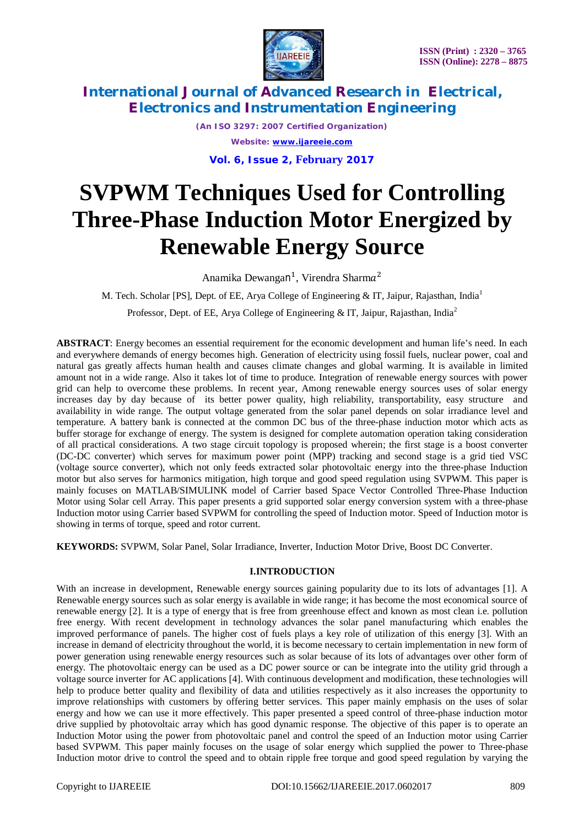



> *(An ISO 3297: 2007 Certified Organization) Website: [www.ijareeie.com](http://www.ijareeie.com)* **Vol. 6, Issue 2, February 2017**

# **SVPWM Techniques Used for Controlling Three-Phase Induction Motor Energized by Renewable Energy Source**

Anamika Dewangan<sup>1</sup>, Virendra Sharma<sup>2</sup>

M. Tech. Scholar [PS], Dept. of EE, Arya College of Engineering & IT, Jaipur, Rajasthan, India<sup>1</sup> Professor, Dept. of EE, Arya College of Engineering & IT, Jaipur, Rajasthan, India<sup>2</sup>

**ABSTRACT**: Energy becomes an essential requirement for the economic development and human life's need. In each and everywhere demands of energy becomes high. Generation of electricity using fossil fuels, nuclear power, coal and natural gas greatly affects human health and causes climate changes and global warming. It is available in limited amount not in a wide range. Also it takes lot of time to produce. Integration of renewable energy sources with power grid can help to overcome these problems. In recent year, Among renewable energy sources uses of solar energy increases day by day because of its better power quality, high reliability, transportability, easy structure and availability in wide range. The output voltage generated from the solar panel depends on solar irradiance level and temperature. A battery bank is connected at the common DC bus of the three-phase induction motor which acts as buffer storage for exchange of energy. The system is designed for complete automation operation taking consideration of all practical considerations. A two stage circuit topology is proposed wherein; the first stage is a boost converter (DC-DC converter) which serves for maximum power point (MPP) tracking and second stage is a grid tied VSC (voltage source converter), which not only feeds extracted solar photovoltaic energy into the three-phase Induction motor but also serves for harmonics mitigation, high torque and good speed regulation using SVPWM. This paper is mainly focuses on MATLAB/SIMULINK model of Carrier based Space Vector Controlled Three-Phase Induction Motor using Solar cell Array. This paper presents a grid supported solar energy conversion system with a three-phase Induction motor using Carrier based SVPWM for controlling the speed of Induction motor. Speed of Induction motor is showing in terms of torque, speed and rotor current.

**KEYWORDS:** SVPWM, Solar Panel, Solar Irradiance, Inverter, Induction Motor Drive, Boost DC Converter.

#### **I.INTRODUCTION**

With an increase in development, Renewable energy sources gaining popularity due to its lots of advantages [1]. A Renewable energy sources such as solar energy is available in wide range; it has become the most economical source of renewable energy [2]. It is a type of energy that is free from greenhouse effect and known as most clean i.e. pollution free energy. With recent development in technology advances the solar panel manufacturing which enables the improved performance of panels. The higher cost of fuels plays a key role of utilization of this energy [3]. With an increase in demand of electricity throughout the world, it is become necessary to certain implementation in new form of power generation using renewable energy resources such as solar because of its lots of advantages over other form of energy. The photovoltaic energy can be used as a DC power source or can be integrate into the utility grid through a voltage source inverter for AC applications [4]. With continuous development and modification, these technologies will help to produce better quality and flexibility of data and utilities respectively as it also increases the opportunity to improve relationships with customers by offering better services. This paper mainly emphasis on the uses of solar energy and how we can use it more effectively. This paper presented a speed control of three-phase induction motor drive supplied by photovoltaic array which has good dynamic response. The objective of this paper is to operate an Induction Motor using the power from photovoltaic panel and control the speed of an Induction motor using Carrier based SVPWM. This paper mainly focuses on the usage of solar energy which supplied the power to Three-phase Induction motor drive to control the speed and to obtain ripple free torque and good speed regulation by varying the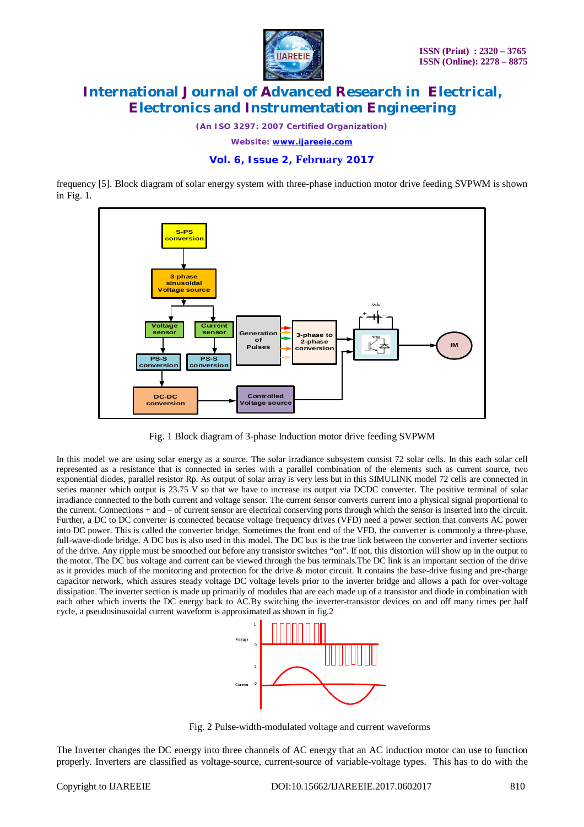

*(An ISO 3297: 2007 Certified Organization)*

*Website: [www.ijareeie.com](http://www.ijareeie.com)*

### **Vol. 6, Issue 2, February 2017**

frequency [5]. Block diagram of solar energy system with three-phase induction motor drive feeding SVPWM is shown in Fig. 1.



Fig. 1 Block diagram of 3-phase Induction motor drive feeding SVPWM

In this model we are using solar energy as a source. The solar irradiance subsystem consist 72 solar cells. In this each solar cell represented as a resistance that is connected in series with a parallel combination of the elements such as current source, two exponential diodes, parallel resistor Rp. As output of solar array is very less but in this SIMULINK model 72 cells are connected in series manner which output is 23.75 V so that we have to increase its output via DCDC converter. The positive terminal of solar irradiance connected to the both current and voltage sensor. The current sensor converts current into a physical signal proportional to the current. Connections + and – of current sensor are electrical conserving ports through which the sensor is inserted into the circuit. Further, a DC to DC converter is connected because voltage frequency drives (VFD) need a power section that converts AC power into DC power. This is called the converter bridge. Sometimes the front end of the VFD, the converter is commonly a three-phase, full-wave-diode bridge. A DC bus is also used in this model. The DC bus is the true link between the converter and inverter sections of the drive. Any ripple must be smoothed out before any transistor switches "on". If not, this distortion will show up in the output to the motor. The DC bus voltage and current can be viewed through the bus terminals.The DC link is an important section of the drive as it provides much of the monitoring and protection for the drive & motor circuit. It contains the base-drive fusing and pre-charge capacitor network, which assures steady voltage DC voltage levels prior to the inverter bridge and allows a path for over-voltage dissipation. The inverter section is made up primarily of modules that are each made up of a transistor and diode in combination with each other which inverts the DC energy back to AC.By switching the inverter-transistor devices on and off many times per half cycle, a pseudosinusoidal current waveform is approximated as shown in fig.2



Fig. 2 Pulse-width-modulated voltage and current waveforms

The Inverter changes the DC energy into three channels of AC energy that an AC induction motor can use to function properly. Inverters are classified as voltage-source, current-source of variable-voltage types. This has to do with the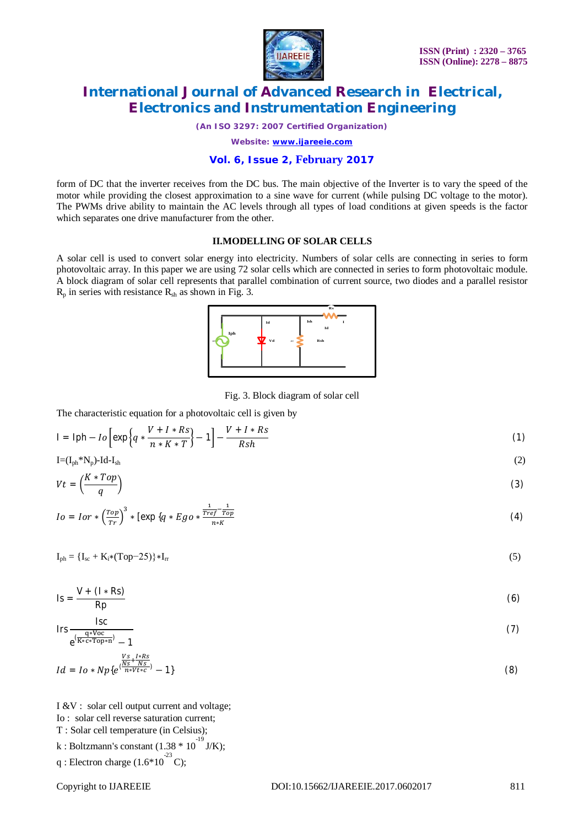

*(An ISO 3297: 2007 Certified Organization)*

*Website: [www.ijareeie.com](http://www.ijareeie.com)*

### **Vol. 6, Issue 2, February 2017**

form of DC that the inverter receives from the DC bus. The main objective of the Inverter is to vary the speed of the motor while providing the closest approximation to a sine wave for current (while pulsing DC voltage to the motor). The PWMs drive ability to maintain the AC levels through all types of load conditions at given speeds is the factor which separates one drive manufacturer from the other.

### **II.MODELLING OF SOLAR CELLS**

A solar cell is used to convert solar energy into electricity. Numbers of solar cells are connecting in series to form photovoltaic array. In this paper we are using 72 solar cells which are connected in series to form photovoltaic module. A block diagram of solar cell represents that parallel combination of current source, two diodes and a parallel resistor  $R_p$  in series with resistance  $R_{sh}$  as shown in Fig. 3.



Fig. 3. Block diagram of solar cell

The characteristic equation for a photovoltaic cell is given by

$$
I = Iph - Io \left[ exp \left\{ q * \frac{V + I * Rs}{n * K * T} \right\} - 1 \right] - \frac{V + I * Rs}{Rsh} \tag{1}
$$

$$
I = (I_{ph} * N_p) - Id - I_{sh} \tag{2}
$$

$$
Vt = \left(\frac{K * Top}{q}\right) \tag{3}
$$

$$
Io = I or * \left(\frac{Top}{Tr}\right)^3 * \left[\exp\left\{q * Ego * \frac{\frac{1}{Tref} - \frac{1}{Top}}{n*K}\right\}\right]
$$
(4)

 $I_{\text{ph}} = {I_{\text{sc}} + K_i * (Top-25)} * I_{rr}$ (5)

$$
Is = \frac{V + (I * Rs)}{Rp}
$$
 (6)

$$
Irs \frac{Isc}{e^{\frac{q*Voc}{K*c*Top*n^2}} - 1}
$$
 (7)

$$
Id = I_0 * Np\{e^{(\frac{Ns}{N_s + N_s})} - 1\}
$$
(8)

I &V : solar cell output current and voltage;

Io : solar cell reverse saturation current;

T : Solar cell temperature (in Celsius);

k : Boltzmann's constant  $(1.38 * 10^{-19} J/K);$ 

q: Electron charge 
$$
(1.6*10^2 \text{ C})
$$
;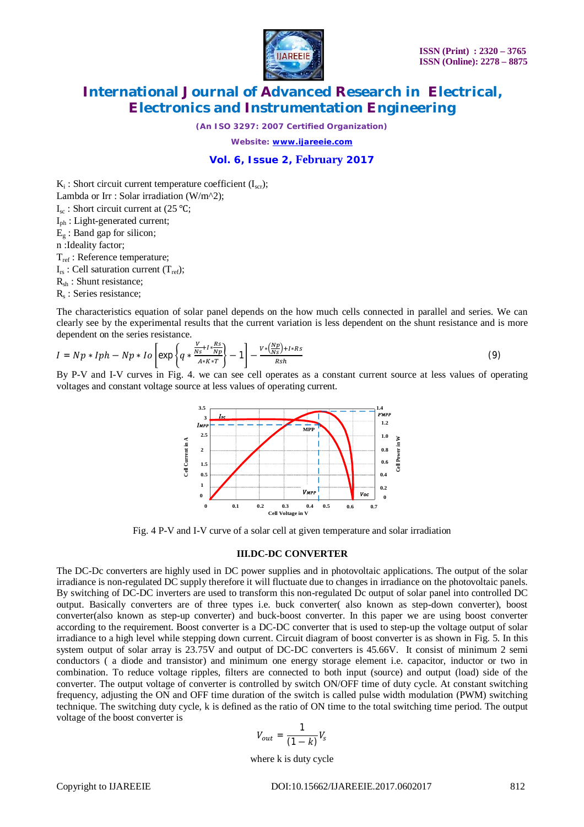

*(An ISO 3297: 2007 Certified Organization)*

*Website: [www.ijareeie.com](http://www.ijareeie.com)*

### **Vol. 6, Issue 2, February 2017**

 $K_i$ : Short circuit current temperature coefficient  $(I_{scr})$ ;

Lambda or Irr : Solar irradiation (W/m^2);

 $I_{\text{sc}}$ : Short circuit current at (25 °C;

Iph : Light-generated current;

 $E_{\sigma}$ : Band gap for silicon;

n :Ideality factor;

Tref : Reference temperature;

 $I_{rs}$ : Cell saturation current  $(T_{ref});$ 

Rsh : Shunt resistance;

R<sub>s</sub>: Series resistance;

The characteristics equation of solar panel depends on the how much cells connected in parallel and series. We can clearly see by the experimental results that the current variation is less dependent on the shunt resistance and is more dependent on the series resistance.

$$
I = Np * Iph - Np * Io\left[\exp\left\{q * \frac{\frac{V}{Ns} + I * \frac{Rs}{Np}}{A * K * T}\right\} - 1\right] - \frac{V * \left(\frac{Np}{Ns}\right) + I * Rs}{Rsh} \tag{9}
$$

By P-V and I-V curves in Fig. 4. we can see cell operates as a constant current source at less values of operating voltages and constant voltage source at less values of operating current.



Fig. 4 P-V and I-V curve of a solar cell at given temperature and solar irradiation

#### **III.DC-DC CONVERTER**

The DC-Dc converters are highly used in DC power supplies and in photovoltaic applications. The output of the solar irradiance is non-regulated DC supply therefore it will fluctuate due to changes in irradiance on the photovoltaic panels. By switching of DC-DC inverters are used to transform this non-regulated Dc output of solar panel into controlled DC output. Basically converters are of three types i.e. buck converter( also known as step-down converter), boost converter(also known as step-up converter) and buck-boost converter. In this paper we are using boost converter according to the requirement. Boost converter is a DC-DC converter that is used to step-up the voltage output of solar irradiance to a high level while stepping down current. Circuit diagram of boost converter is as shown in Fig. 5. In this system output of solar array is 23.75V and output of DC-DC converters is 45.66V. It consist of minimum 2 semi conductors ( a diode and transistor) and minimum one energy storage element i.e. capacitor, inductor or two in combination. To reduce voltage ripples, filters are connected to both input (source) and output (load) side of the converter. The output voltage of converter is controlled by switch ON/OFF time of duty cycle. At constant switching frequency, adjusting the ON and OFF time duration of the switch is called pulse width modulation (PWM) switching technique. The switching duty cycle, k is defined as the ratio of ON time to the total switching time period. The output voltage of the boost converter is

$$
V_{out} = \frac{1}{(1-k)} V_s
$$

where k is duty cycle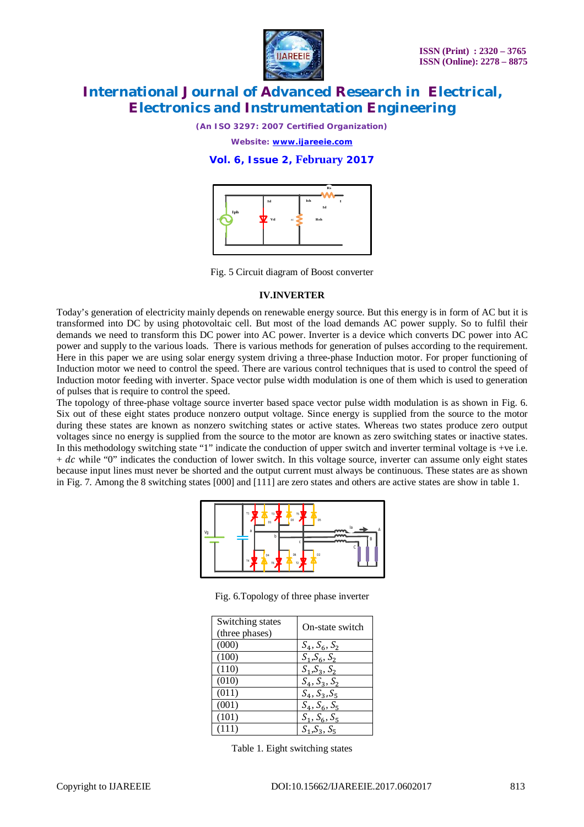

*(An ISO 3297: 2007 Certified Organization)*

*Website: [www.ijareeie.com](http://www.ijareeie.com)*

### **Vol. 6, Issue 2, February 2017**



Fig. 5 Circuit diagram of Boost converter

#### **IV.INVERTER**

Today's generation of electricity mainly depends on renewable energy source. But this energy is in form of AC but it is transformed into DC by using photovoltaic cell. But most of the load demands AC power supply. So to fulfil their demands we need to transform this DC power into AC power. Inverter is a device which converts DC power into AC power and supply to the various loads. There is various methods for generation of pulses according to the requirement. Here in this paper we are using solar energy system driving a three-phase Induction motor. For proper functioning of Induction motor we need to control the speed. There are various control techniques that is used to control the speed of Induction motor feeding with inverter. Space vector pulse width modulation is one of them which is used to generation of pulses that is require to control the speed.

The topology of three-phase voltage source inverter based space vector pulse width modulation is as shown in Fig. 6. Six out of these eight states produce nonzero output voltage. Since energy is supplied from the source to the motor during these states are known as nonzero switching states or active states. Whereas two states produce zero output voltages since no energy is supplied from the source to the motor are known as zero switching states or inactive states. In this methodology switching state "1" indicate the conduction of upper switch and inverter terminal voltage is +ve i.e.  $+ dc$  while "0" indicates the conduction of lower switch. In this voltage source, inverter can assume only eight states because input lines must never be shorted and the output current must always be continuous. These states are as shown in Fig. 7. Among the 8 switching states [000] and [111] are zero states and others are active states are show in table 1.

| Vg | T1<br>T3<br>D1<br>a               | T5<br>D3               | D <sub>5</sub><br>-- | la<br>A |
|----|-----------------------------------|------------------------|----------------------|---------|
|    | b                                 | c                      | . .                  | B       |
|    | D <sub>4</sub><br><b>T4</b><br>T6 | D6<br>T2<br><b>ALL</b> | D <sub>2</sub>       | Ċ       |

Fig. 6.Topology of three phase inverter

| Switching states<br>(three phases) | On-state switch |
|------------------------------------|-----------------|
| (000)                              | $S_4, S_6, S_2$ |
| (100)                              | $S_1, S_6, S_2$ |
| (110)                              | $S_1, S_3, S_2$ |
| (010)                              | $S_4, S_3, S_2$ |
| (011)                              | $S_4, S_3, S_5$ |
| (001)                              | $S_4, S_6, S_5$ |
| (101)                              | $S_1, S_6, S_5$ |
| (111)                              | $S_1, S_3, S_5$ |

Table 1. Eight switching states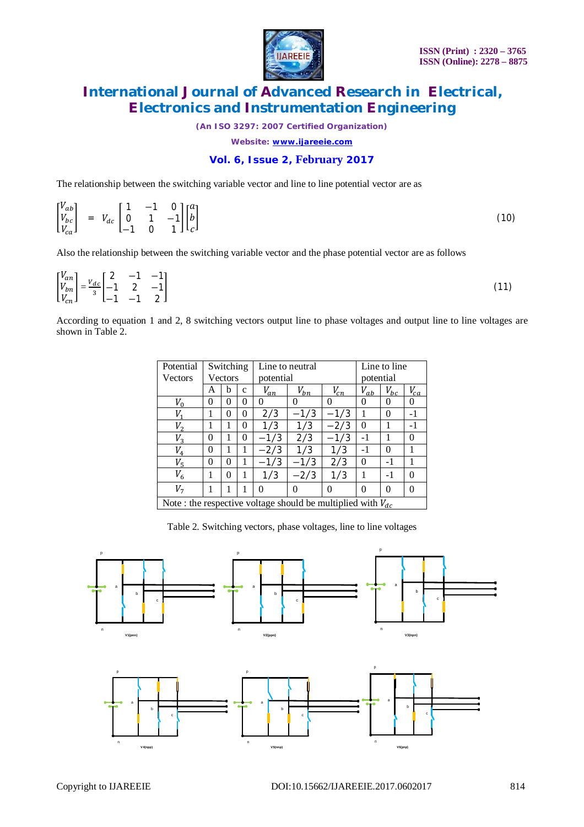

*(An ISO 3297: 2007 Certified Organization)*

*Website: [www.ijareeie.com](http://www.ijareeie.com)*

### **Vol. 6, Issue 2, February 2017**

The relationship between the switching variable vector and line to line potential vector are as

|  |  |  |  | $\begin{bmatrix} V_{ab} \\ V_{bc} \\ V_{ca} \end{bmatrix} \;\; = \;\; V_{dc} \begin{bmatrix} 1 & -1 & 0 \\ 0 & 1 & -1 \\ -1 & 0 & 1 \end{bmatrix} \begin{bmatrix} a \\ b \\ c \end{bmatrix}$ |  | (10) |
|--|--|--|--|----------------------------------------------------------------------------------------------------------------------------------------------------------------------------------------------|--|------|
|--|--|--|--|----------------------------------------------------------------------------------------------------------------------------------------------------------------------------------------------|--|------|

Also the relationship between the switching variable vector and the phase potential vector are as follows

| $\begin{bmatrix} V_{an} \\ V_{bn} \\ V_{cn} \end{bmatrix} = \frac{v_{dc}}{3} \begin{bmatrix} 2 & -1 & -1 \\ -1 & 2 & -1 \\ -1 & -1 & 2 \end{bmatrix}$ |  |  |  |
|-------------------------------------------------------------------------------------------------------------------------------------------------------|--|--|--|
|                                                                                                                                                       |  |  |  |

According to equation 1 and 2, 8 switching vectors output line to phase voltages and output line to line voltages are shown in Table 2.

| Potential                                                        |          | Switching |              | Line to neutral |          |          | Line to line |          |          |
|------------------------------------------------------------------|----------|-----------|--------------|-----------------|----------|----------|--------------|----------|----------|
| <b>Vectors</b>                                                   |          | Vectors   |              | potential       |          |          | potential    |          |          |
|                                                                  | A        | h         | $\mathbf{c}$ | $V_{an}$        | $V_{bn}$ | $V_{cn}$ | $V_{ab}$     | $V_{bc}$ | $V_{ca}$ |
| $V_0$                                                            | $\theta$ | 0         | 0            | 0               | 0        | 0        | $\theta$     | 0        | 0        |
| V,                                                               |          | 0         | 0            | 2/3             | $-1/3$   | $-1/3$   |              | 0        | -1       |
| $V_{2}$                                                          |          | 1         | 0            | 1/3             | 1/3      | $-2/3$   | 0            |          | $-1$     |
| $V_3$                                                            | $\theta$ | 1         | 0            | $-1/3$          | 2/3      | $-1/3$   | $-1$         |          | 0        |
| $V_4$                                                            | 0        |           | 1            | $-2/3$          | 1/3      | 1/3      | -1           | 0        |          |
| $V_{5}$                                                          | 0        | 0         | 1            | $-1/3$          | $-1/3$   | 2/3      | 0            | -1       |          |
| $V_6$                                                            |          | 0         | 1            | 1/3             | $-2/3$   | 1/3      |              | $-1$     | 0        |
| V <sub>7</sub>                                                   |          |           |              | 0               | 0        | 0        | 0            | $\Omega$ | 0        |
| Note : the respective voltage should be multiplied with $V_{dc}$ |          |           |              |                 |          |          |              |          |          |

Table 2. Switching vectors, phase voltages, line to line voltages

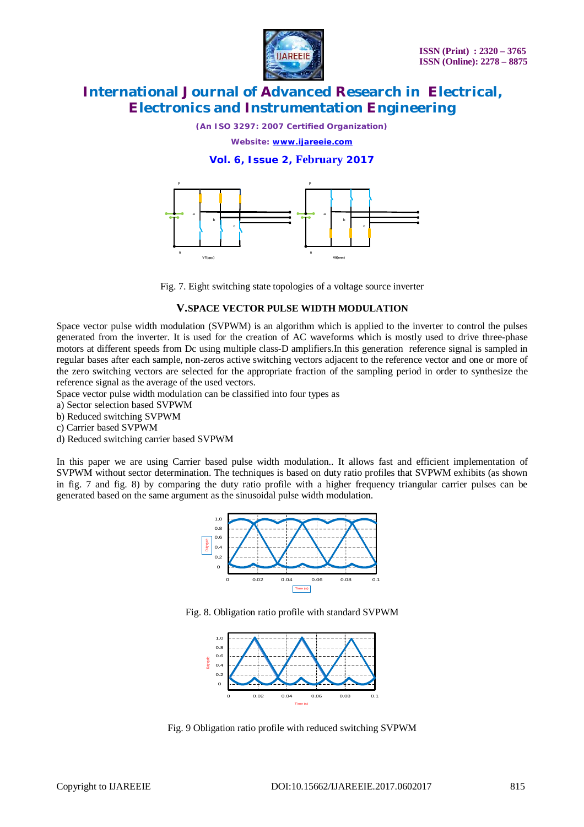

*(An ISO 3297: 2007 Certified Organization)*

*Website: [www.ijareeie.com](http://www.ijareeie.com)*

### **Vol. 6, Issue 2, February 2017**



Fig. 7. Eight switching state topologies of a voltage source inverter

### **V.SPACE VECTOR PULSE WIDTH MODULATION**

Space vector pulse width modulation (SVPWM) is an algorithm which is applied to the inverter to control the pulses generated from the inverter. It is used for the creation of AC waveforms which is mostly used to drive three-phase motors at different speeds from Dc using multiple class-D amplifiers.In this generation reference signal is sampled in regular bases after each sample, non-zeros active switching vectors adjacent to the reference vector and one or more of the zero switching vectors are selected for the appropriate fraction of the sampling period in order to synthesize the reference signal as the average of the used vectors.

Space vector pulse width modulation can be classified into four types as

a) Sector selection based SVPWM

b) Reduced switching SVPWM

c) Carrier based SVPWM

d) Reduced switching carrier based SVPWM

In this paper we are using Carrier based pulse width modulation.. It allows fast and efficient implementation of SVPWM without sector determination. The techniques is based on duty ratio profiles that SVPWM exhibits (as shown in fig. 7 and fig. 8) by comparing the duty ratio profile with a higher frequency triangular carrier pulses can be generated based on the same argument as the sinusoidal pulse width modulation.



Fig. 8. Obligation ratio profile with standard SVPWM



Fig. 9 Obligation ratio profile with reduced switching SVPWM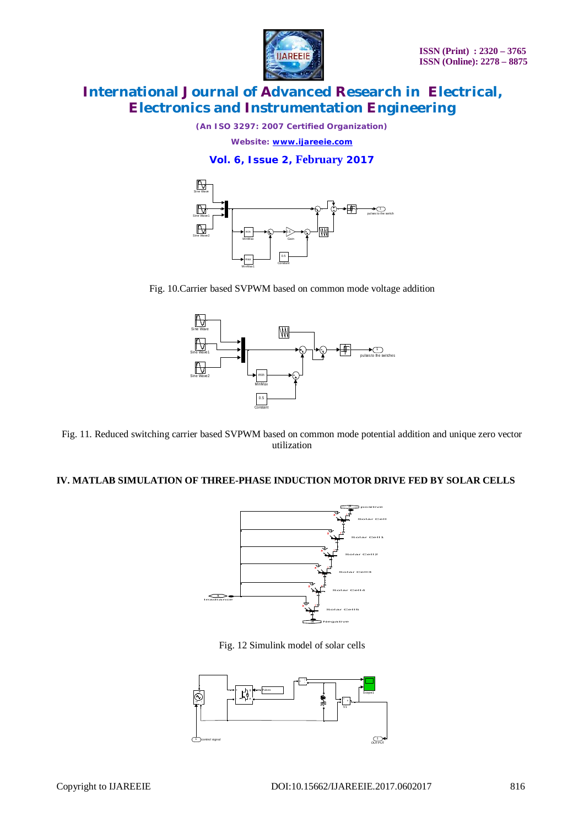

*(An ISO 3297: 2007 Certified Organization)*

*Website: [www.ijareeie.com](http://www.ijareeie.com)*

**Vol. 6, Issue 2, February 2017**



Fig. 10.Carrier based SVPWM based on common mode voltage addition



Fig. 11. Reduced switching carrier based SVPWM based on common mode potential addition and unique zero vector utilization

### **IV. MATLAB SIMULATION OF THREE-PHASE INDUCTION MOTOR DRIVE FED BY SOLAR CELLS**



Fig. 12 Simulink model of solar cells

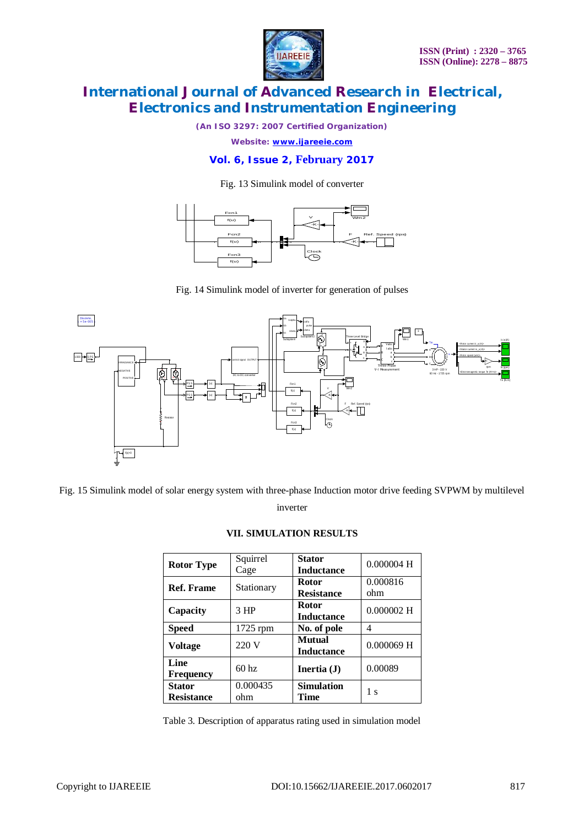

*(An ISO 3297: 2007 Certified Organization)*

*Website: [www.ijareeie.com](http://www.ijareeie.com)*

### **Vol. 6, Issue 2, February 2017**

Fig. 13 Simulink model of converter



Fig. 14 Simulink model of inverter for generation of pulses



Fig. 15 Simulink model of solar energy system with three-phase Induction motor drive feeding SVPWM by multilevel

inverter

|  |  |  | VII. SIMULATION RESULTS |
|--|--|--|-------------------------|
|--|--|--|-------------------------|

| <b>Rotor Type</b>        | Squirrel<br>Cage | <b>Stator</b><br><b>Inductance</b> | $0.000004$ H    |
|--------------------------|------------------|------------------------------------|-----------------|
| <b>Ref. Frame</b>        | Stationary       | <b>Rotor</b><br><b>Resistance</b>  | 0.000816<br>ohm |
| Capacity                 | $3$ HP           | <b>Rotor</b><br><b>Inductance</b>  | $0.000002$ H    |
| <b>Speed</b>             | $1725$ rpm       | No. of pole                        | 4               |
| Voltage                  | 220 V            | Mutual<br><b>Inductance</b>        | $0.000069$ H    |
| Line<br><b>Frequency</b> | 60 <sub>hz</sub> | Inertia $(J)$                      | 0.00089         |
| <b>Stator</b>            | 0.000435         | <b>Simulation</b>                  | 1 <sub>s</sub>  |
| <b>Resistance</b>        | ohm              | <b>Time</b>                        |                 |

Table 3. Description of apparatus rating used in simulation model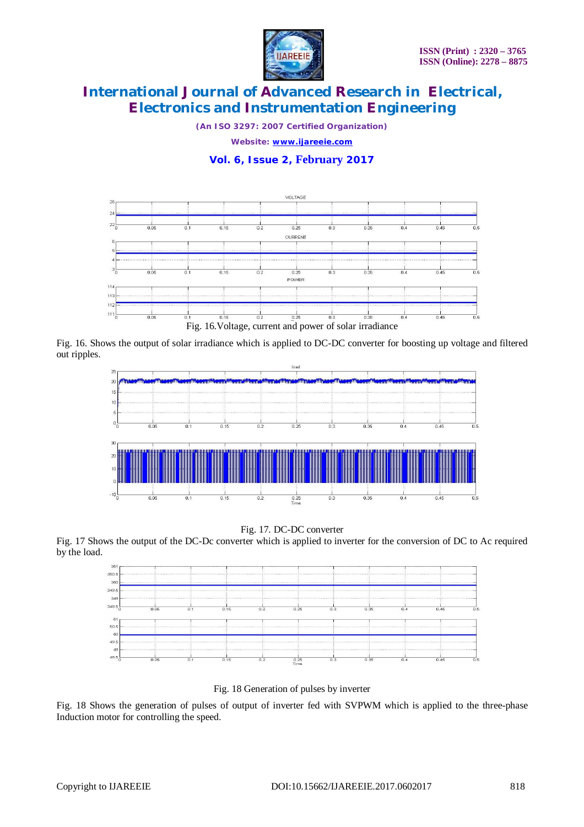

*(An ISO 3297: 2007 Certified Organization)*

*Website: [www.ijareeie.com](http://www.ijareeie.com)*

### **Vol. 6, Issue 2, February 2017**



Fig. 16. Shows the output of solar irradiance which is applied to DC-DC converter for boosting up voltage and filtered out ripples.



#### Fig. 17. DC-DC converter

Fig. 17 Shows the output of the DC-Dc converter which is applied to inverter for the conversion of DC to Ac required by the load.



Fig. 18 Generation of pulses by inverter

Fig. 18 Shows the generation of pulses of output of inverter fed with SVPWM which is applied to the three-phase Induction motor for controlling the speed.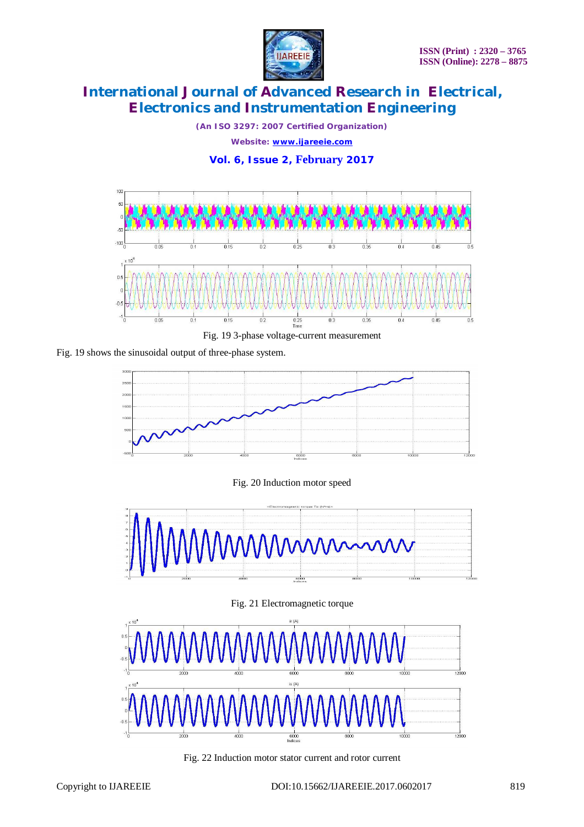

*(An ISO 3297: 2007 Certified Organization) Website: [www.ijareeie.com](http://www.ijareeie.com)* **Vol. 6, Issue 2, February 2017**









Fig. 20 Induction motor speed







Fig. 22 Induction motor stator current and rotor current